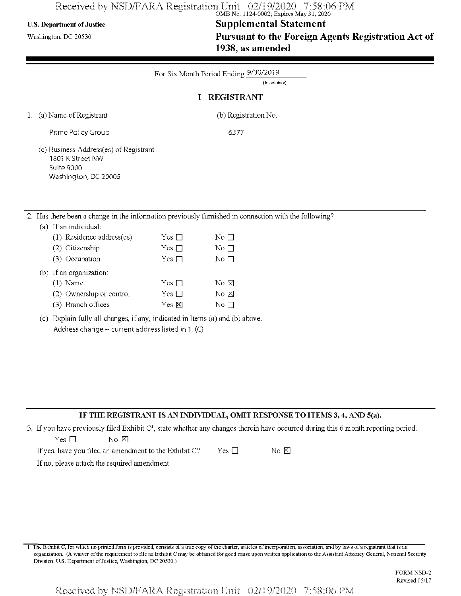# Received by NSD/FARA Registration Unit 02/19/2020 7:58:06 PM<br>
OMB No. 1124-0002; Expires May 31, 2020

# U.S. Department of Justice **Supplemental Statement**

Washington, dc <sup>20530</sup> **Pursuant to the Foreign Agents Registration Act of 1938, as amended**

|    | For Six Month Period Ending 9/30/2019<br>(Insert date)                                           |               |                                                                                                   |  |  |
|----|--------------------------------------------------------------------------------------------------|---------------|---------------------------------------------------------------------------------------------------|--|--|
|    |                                                                                                  |               | <b>I-REGISTRANT</b>                                                                               |  |  |
|    | 1. (a) Name of Registrant                                                                        |               | (b) Registration No.                                                                              |  |  |
|    | Prime Policy Group                                                                               |               | 6377                                                                                              |  |  |
|    | (c) Business Address(es) of Registrant<br>1801 K Street NW<br>Suite 9000<br>Washington, DC 20005 |               |                                                                                                   |  |  |
| 2. |                                                                                                  |               | Has there been a change in the information previously furnished in connection with the following? |  |  |
|    | If an individual:<br>(a)                                                                         |               |                                                                                                   |  |  |
|    | (1) Residence address(es)                                                                        | Yes $\Box$    | No $\square$                                                                                      |  |  |
|    | (2) Citizenship                                                                                  | Yes $\Box$    | No $\square$                                                                                      |  |  |
|    | (3) Occupation                                                                                   | Yes $\square$ | No $\square$                                                                                      |  |  |
|    | If an organization.<br>(b)                                                                       |               |                                                                                                   |  |  |
|    | $(1)$ Name                                                                                       | Yes $\Box$    | No $\boxtimes$                                                                                    |  |  |
|    | (2) Ownership or control                                                                         | Yes $\square$ | No $\boxtimes$                                                                                    |  |  |
|    |                                                                                                  |               |                                                                                                   |  |  |

| (c) Explain fully all changes, if any, indicated in Items (a) and (b) above. |  |
|------------------------------------------------------------------------------|--|
| Address change $-$ current address listed in 1. (C)                          |  |

 $Yes \nvert \nabla$ 

## **IF THE REGISTRANT IS AN INDIVIDUAL, OMIT RESPONSE TO ITEMS 3,4, AND 5(a).**

3. If you have previously filed Exhibit  $C<sup>1</sup>$ , state whether any changes therein have occurred during this 6 month reporting period.

No  $\square$ 

| Yes □ |  | $\rm No~\sum$ |  |
|-------|--|---------------|--|

(3) Branch offices

| If yes, have you filed an amendment to the Exhibit C? | $Yes \Box$ | No E |
|-------------------------------------------------------|------------|------|
|                                                       |            |      |

If no, please attach the required amendment.

<sup>1</sup> The Exhibit C, for which no printed form is provided, consists of a true copy ofthe charter, articles ofincorporation, association, and by laws of a registrant that is an organization. (A waiver ofthe requirement to file an Exhibit C may be obtained for good cause upon written application to the Assistant Attorney General, National Security Division, U.S. Department of Justice, Washington, DC 20530.)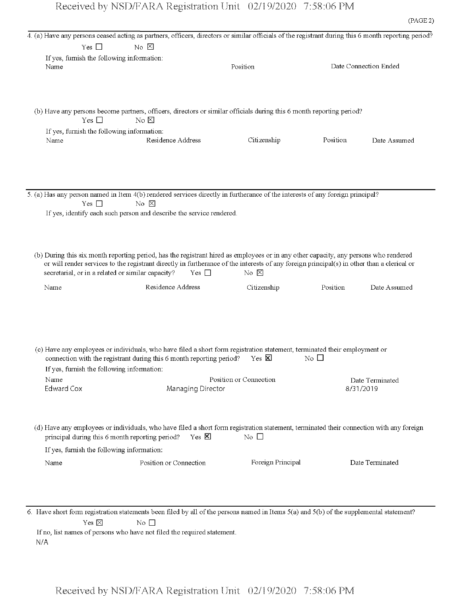|                                                    | 4. (a) Have any persons ceased acting as partners, officers, directors or similar officials of the registrant during this 6 month reporting period? |                        |                         |                       |
|----------------------------------------------------|-----------------------------------------------------------------------------------------------------------------------------------------------------|------------------------|-------------------------|-----------------------|
| Yes $\square$                                      | $\overline{N}$ $\overline{N}$                                                                                                                       |                        |                         |                       |
| If yes, furnish the following information:         |                                                                                                                                                     |                        |                         |                       |
| Name                                               |                                                                                                                                                     | Position               |                         | Date Connection Ended |
|                                                    |                                                                                                                                                     |                        |                         |                       |
|                                                    |                                                                                                                                                     |                        |                         |                       |
|                                                    |                                                                                                                                                     |                        |                         |                       |
|                                                    | (b) Have any persons become partners, officers, directors or similar officials during this 6 month reporting period?                                |                        |                         |                       |
| Yes $\square$                                      | No &                                                                                                                                                |                        |                         |                       |
|                                                    |                                                                                                                                                     |                        |                         |                       |
| If yes, furnish the following information:<br>Name | Residence Address                                                                                                                                   | Citizenship            | Position                | Date Assumed          |
|                                                    |                                                                                                                                                     |                        |                         |                       |
|                                                    |                                                                                                                                                     |                        |                         |                       |
|                                                    |                                                                                                                                                     |                        |                         |                       |
|                                                    |                                                                                                                                                     |                        |                         |                       |
|                                                    |                                                                                                                                                     |                        |                         |                       |
|                                                    | 5. (a) Has any person named in Item 4(b) rendered services directly in furtherance of the interests of any foreign principal?                       |                        |                         |                       |
| Yes $\square$                                      | No X                                                                                                                                                |                        |                         |                       |
|                                                    | If yes, identify each such person and describe the service rendered.                                                                                |                        |                         |                       |
|                                                    |                                                                                                                                                     |                        |                         |                       |
|                                                    |                                                                                                                                                     |                        |                         |                       |
|                                                    |                                                                                                                                                     |                        |                         |                       |
|                                                    | (b) During this six month reporting period, has the registrant hired as employees or in any other capacity, any persons who rendered                |                        |                         |                       |
|                                                    | or will render services to the registrant directly in furtherance of the interests of any foreign principal(s) in other than a clerical or          |                        |                         |                       |
|                                                    | secretarial, or in a related or similar capacity?<br>$Yes \Box$                                                                                     | No $\times$            |                         |                       |
|                                                    |                                                                                                                                                     |                        |                         |                       |
| Name                                               | Residence Address                                                                                                                                   | Citizenship            | Position                | Date Assumed          |
|                                                    |                                                                                                                                                     |                        |                         |                       |
|                                                    |                                                                                                                                                     |                        |                         |                       |
|                                                    |                                                                                                                                                     |                        |                         |                       |
|                                                    |                                                                                                                                                     |                        |                         |                       |
|                                                    |                                                                                                                                                     |                        |                         |                       |
|                                                    | (c) Have any employees or individuals, who have filed a short form registration statement, terminated their employment or                           |                        |                         |                       |
|                                                    | connection with the registrant during this 6 month reporting period?                                                                                | $Yes \times$           | $\overline{N}$ o $\Box$ |                       |
| If yes, furnish the following information:         |                                                                                                                                                     |                        |                         |                       |
| Name                                               |                                                                                                                                                     | Position or Connection |                         | Date Terminated       |
| <b>Edward Cox</b>                                  | Managing Director                                                                                                                                   |                        |                         | 8/31/2019             |
|                                                    |                                                                                                                                                     |                        |                         |                       |
|                                                    |                                                                                                                                                     |                        |                         |                       |
|                                                    |                                                                                                                                                     |                        |                         |                       |
|                                                    | (d) Have any employees or individuals, who have filed a short form registration statement, terminated their connection with any foreign             |                        |                         |                       |
|                                                    | $Yes \times$<br>principal during this 6 month reporting period?                                                                                     | No $\square$           |                         |                       |
|                                                    |                                                                                                                                                     |                        |                         |                       |
| If yes, furnish the following information:         |                                                                                                                                                     |                        |                         |                       |
| Name                                               | Position or Connection                                                                                                                              | Foreign Principal      |                         | Date Terminated       |
|                                                    |                                                                                                                                                     |                        |                         |                       |
|                                                    |                                                                                                                                                     |                        |                         |                       |
|                                                    |                                                                                                                                                     |                        |                         |                       |
|                                                    |                                                                                                                                                     |                        |                         |                       |

6. Have short form registration statements been filed by all of the persons named in Items 5(a) and 5(b) of the supplemental statement? Yes  $\boxtimes$  No  $\Box$ 

If no, list names of persons who have not filed the required statement. N/A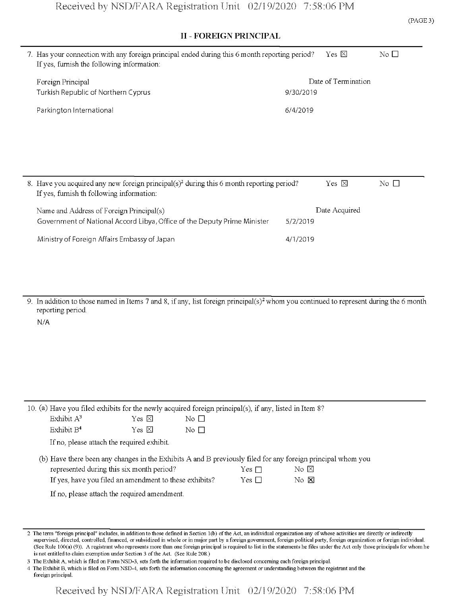|                                                                                                                                                   |           |                     |                 | (PA |
|---------------------------------------------------------------------------------------------------------------------------------------------------|-----------|---------------------|-----------------|-----|
| <b>II - FOREIGN PRINCIPAL</b>                                                                                                                     |           |                     |                 |     |
| 7. Has your connection with any foreign principal ended during this 6 month reporting period?<br>If yes, furnish the following information:       |           | Yes $\boxtimes$     | No $\Box$       |     |
| Foreign Principal<br>Turkish Republic of Northern Cyprus                                                                                          | 9/30/2019 | Date of Termination |                 |     |
| Parkington International                                                                                                                          | 6/4/2019  |                     |                 |     |
|                                                                                                                                                   |           |                     |                 |     |
|                                                                                                                                                   |           |                     |                 |     |
|                                                                                                                                                   |           |                     |                 |     |
| 8. Have you acquired any new foreign principal(s) <sup>2</sup> during this 6 month reporting period?<br>If yes, furnish th following information: |           | Yes $\boxtimes$     | $\rm No$ $\Box$ |     |
| Name and Address of Foreign Principal(s)                                                                                                          |           | Date Acquired       |                 |     |
| Government of National Accord Libya, Office of the Deputy Prime Minister                                                                          | 5/2/2019  |                     |                 |     |
| Ministry of Foreign Affairs Embassy of Japan                                                                                                      | 4/1/2019  |                     |                 |     |
|                                                                                                                                                   |           |                     |                 |     |
|                                                                                                                                                   |           |                     |                 |     |

9. In addition to those named in Items 7 and 8, if any, list foreign principal(s)2 whom you continued to represent during the 6 month reporting period.

N/A

|               |                                                        |              | 10. (a) Have you filed exhibits for the newly acquired foreign principal(s), if any, listed in Item 8? |            |                                                                                                             |
|---------------|--------------------------------------------------------|--------------|--------------------------------------------------------------------------------------------------------|------------|-------------------------------------------------------------------------------------------------------------|
| Exhibit $A^3$ |                                                        | Yes ⊠        | No $\Box$                                                                                              |            |                                                                                                             |
| Exhibit $B4$  |                                                        | Yes $\nabla$ | No $\Box$                                                                                              |            |                                                                                                             |
|               | If no, please attach the required exhibit.             |              |                                                                                                        |            |                                                                                                             |
|               |                                                        |              |                                                                                                        |            | (b) Have there been any changes in the Exhibits A and B previously filed for any foreign principal whom you |
|               | represented during this six month period?              |              |                                                                                                        | Yes $\Box$ | $\rm{No}$ $\rm{\boxtimes}$                                                                                  |
|               | If yes, have you filed an amendment to these exhibits? |              |                                                                                                        | Yes $\Box$ | $\rm{No}$ $\rm{M}$                                                                                          |
|               | If no, please attach the required amendment.           |              |                                                                                                        |            |                                                                                                             |

2 The term "foreign principal" includes, in addition to those defined in Section 1(b) of the Act, an individual organization any of whose activities are directly or indirectly supervised, directed, controlled, financed, or subsidized in whole or in major part by a foreign government, foreign political party, foreign organization or foreign individual. (See Rule 100(a) (9)). A registrant who represents more than one foreign principal is required to list in the statements he files under the Act only those principals for whom he is not entitled to claim exemption under Section 3 of the Act. (See Rule 208.)

3 The Exhibit A, which is filed on FormNSD-3, sets forth the information required to be disclosed concerning each foreign principal.

4 The Exhibit B, which is filed on FormNSD-4, sets forth the information concerning the agreement or understanding between the registrant and the foreign principal.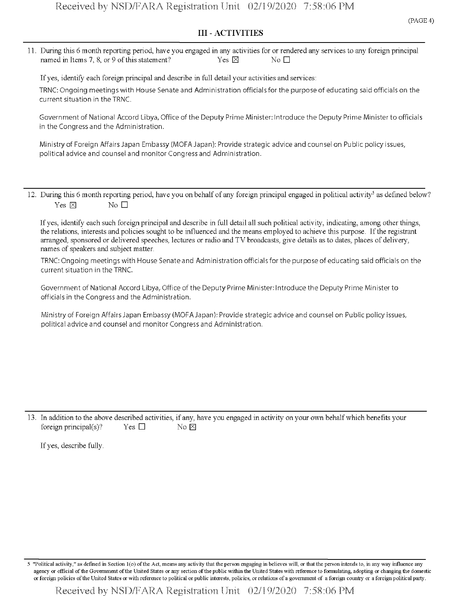## **III - ACTIVITIES**

11. During this 6 month reporting period, have you engaged in any activities for or rendered any services to any foreign principal named in Items 7, 8, or 9 of this statement? Yes  $\boxtimes$  Yes  $\boxtimes$  No  $\square$ 

If yes, identify each foreign principal and describe in full detail your activities and services:

TRNC: Ongoing meetings with House Senate and Administration officials for the purpose of educating said officials on the current situation in the TRNC.

Government of National Accord Libya, Office of the Deputy Prime Minister: Introduce the Deputy Prime Minister to officials in the Congress and the Administration.

Ministry of Foreign Affairs Japan Embassy (MOFA Japan): Provide strategic advice and counsel on Public policy issues, political advice and counsel and monitor Congress and Administration.

12. During this 6 month reporting period, have you on behalf of any foreign principal engaged in political activity<sup>5</sup> as defined below? Yes  $\boxtimes$  No  $\Box$ 

If yes, identify each such foreign principal and describe in full detail all such political activity, indicating, among other things, the relations, interests and policies sought to be influenced and the means employed to achieve this purpose. Ifthe registrant arranged, sponsored or delivered speeches, lectures or radio and TV broadcasts, give details as to dates, places of delivery, names of speakers and subject matter.

TRNC: Ongoing meetings with House Senate and Administration officials for the purpose of educating said officials on the current situation in the TRNC.

Government of National Accord Libya, Office of the Deputy Prime Minister: Introduce the Deputy Prime Minister to officials in the Congress and the Administration.

Ministry of Foreign AffairsJapan Embassy (MOFAJapan): Provide strategic advice and counsel on Public policy issues, political advice and counsel and monitor Congress and Administration.

13. In addition to the above described activities, if any, have you engaged in activity on your own behalfwhich benefits your foreign principal(s)? Yes  $\square$  No  $\boxtimes$ 

If yes, describe fully.

"Political activity," as defined in Section 1(o) of the Act, means any activity that the person engaging in believes will, or that the person intends to, in any way influence any agency or official of the Government of the United States or any section of the public within the United States with reference to formulating, adopting or changing the domestic or foreign policies ofthe United States or with reference to political or public interests, policies, or relations of a government of a foreign country or a foreign political party.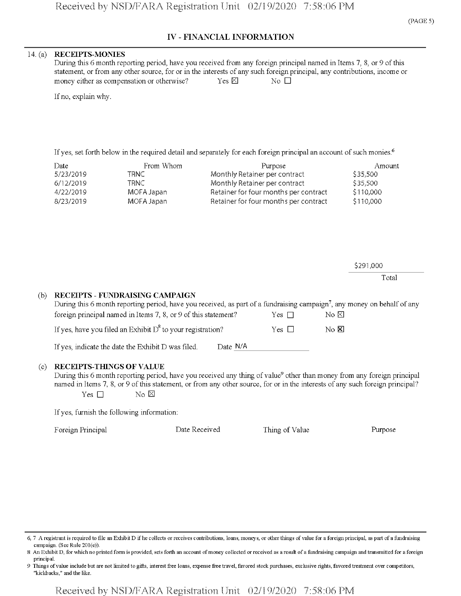## **IV - FINANCIAL INFORMATION**

## **14** (a) **RECEIPTS-MONIES**

During this 6 month reporting period, have you received from any foreign principal named in Items 7, 8, or 9 of this statement, or from any other source, for or in the interests of any such foreign principal, any contributions, income or money either as compensation or otherwise?  $Y$ es  $\boxtimes$  No  $\square$ 

If no, explain why.

If yes, set forth below in the required detail and separately for each foreign principal an account of such monies.<sup>6</sup>

| Date      | From Whom  | Purpose                               | Amount    |
|-----------|------------|---------------------------------------|-----------|
| 5/23/2019 | TRNC       | Monthly Retainer per contract         | \$35,500  |
| 6/12/2019 | TRNC -     | Monthly Retainer per contract         | \$35,500  |
| 4/22/2019 | MOFA Japan | Retainer for four months per contract | \$110,000 |
| 8/23/2019 | MOFA Japan | Retainer for four months per contract | \$110,000 |

|     |                                                                                                                                                                                                                                           |          |            |           | \$291,000 |
|-----|-------------------------------------------------------------------------------------------------------------------------------------------------------------------------------------------------------------------------------------------|----------|------------|-----------|-----------|
|     |                                                                                                                                                                                                                                           |          |            |           | Total     |
| (b) | RECEIPTS - FUNDRAISING CAMPAIGN<br>During this 6 month reporting period, have you received, as part of a fundraising campaign <sup>7</sup> , any money on behalf of any<br>foreign principal named in Items 7, 8, or 9 of this statement? |          | Yes $\Box$ | No ⊠      |           |
|     | If yes, have you filed an Exhibit $D^8$ to your registration?                                                                                                                                                                             |          | Yes $\Box$ | $No$ $N0$ |           |
|     | If yes, indicate the date the Exhibit D was filed.                                                                                                                                                                                        | Date N/A |            |           |           |

## (c) **RECEIPTS-TfflNGS OF VALUE**

During this 6 month reporting period, have you received any thing of value<sup>9</sup> other than money from any foreign principal named in Items 7, 8, or 9 ofthis statement, or from any other source, for or in the interests of any such foreign principal? Yes  $\square$  No  $\boxtimes$ 

If yes, furnish the following information:

Foreign Principal Date Received Thing of Value Purpose

<sup>6,</sup> 7 A registrant is required to file an Exhibit D if he collects or receives contributions, loans, moneys, or other things of value for a foreign principal, as part of a fundraising campaign. (See Rule 201(e)).

<sup>8</sup> An Exhibit D, for which no printed form is provided, sets forth an account of money collected or received as a result of a fundraising campaign and transmitted for a foreign principal.

<sup>9</sup> Things ofvalue include but are not limited to gifts, interest free loans, expense free travel, favored stock purchases, exclusive rights, favored treatment over competitors, "kickbacks," and the like.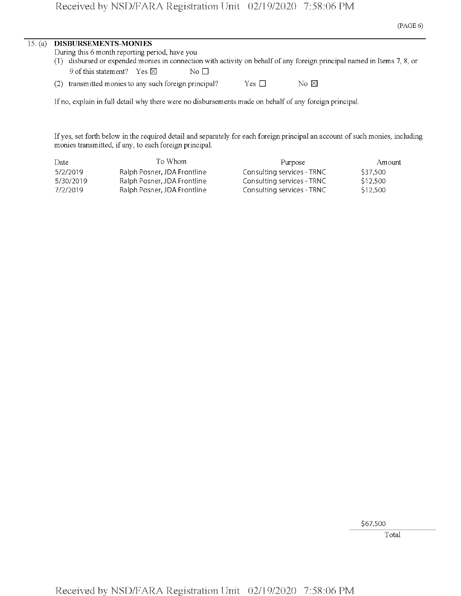| 15. (a) DISBURSEMENTS-MONIES                   |                                                                                                                         |
|------------------------------------------------|-------------------------------------------------------------------------------------------------------------------------|
| During this 6 month reporting period, have you |                                                                                                                         |
|                                                | (1) disbursed or expended monies in connection with activity on behalf of any foreign principal named in Items 7, 8, or |
| 9 of this statement? Yes $\boxtimes$           | No $\Box$                                                                                                               |

| (2) transmitted monies to any such foreign principal? | Yes $\Box$ | No $\boxtimes$ |
|-------------------------------------------------------|------------|----------------|

If no, explain in full detail why there were no disbursements made on behalf of any foreign principal.

If yes, set forth below in the required detail and separately for each foreign principal an account of such monies, including monies transmitted, if any, to each foreign principal.

| Date      | To Whom                     | Purpose                    | Amount   |
|-----------|-----------------------------|----------------------------|----------|
| 5/2/2019  | Ralph Posner, JDA Frontline | Consulting services - TRNC | S37.500  |
| 5/30/2019 | Ralph Posner, JDA Frontline | Consulting services - TRNC | \$12,500 |
| 7/2/2019  | Ralph Posner, JDA Frontline | Consulting services - TRNC | \$12,500 |

\$67,500

Total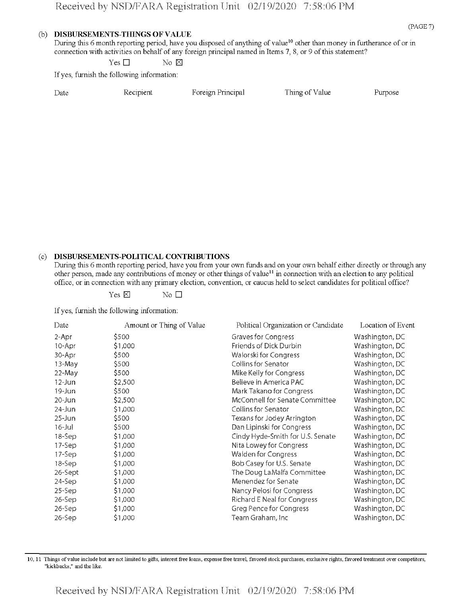#### **(b) DISBURSEMENTS-TfflNGS OF VALUE**

During this 6 month reporting period, have you disposed of anything of value<sup>10</sup> other than money in furtherance of or in connection with activities on behalf of any foreign principal named in Items 7, 8, or 9 ofthis statement?

Yes  $\square$  No  $\boxtimes$ 

If yes, furnish the following information:

| Date | Recipient | Foreign Principal |  |
|------|-----------|-------------------|--|

Thing of Value Purpose

## (c) **DISBURSEMENTS-POLITICAL CONTRIBUTIONS**

During this 6 month reporting period, have you from your own funds and on your own behalf either directly or through any other person, made any contributions of money or other things of value<sup>11</sup> in connection with an election to any political office, or in connection with any primary election, convention, or caucus held to select candidates for political office?

Yes  $\boxtimes$  No  $\Box$ 

If yes, furnish the following information:

| Date       | Amount or Thing of Value | Political Organization or Candidate | Location of Event |
|------------|--------------------------|-------------------------------------|-------------------|
| 2-Apr      | \$500                    | Graves for Congress                 | Washington, DC    |
| 10-Apr     | \$1,000                  | Friends of Dick Durbin              | Washington, DC    |
| 30-Apr     | 5500                     | Walorski for Congress               | Washington, DC    |
| 13-May     | \$500                    | Collins for Senator                 | Washington, DC    |
| 22-May     | \$500                    | Mike Kelly for Congress             | Washington, DC    |
| $12 - Jun$ | 52,500                   | Believe in America PAC              | Washington, DC    |
| 19-Jun     | \$500                    | Mark Takano for Congress            | Washington, DC    |
| $20 - Jun$ | \$2,500                  | McConnell for Senate Committee      | Washington, DC    |
| $24$ -Jun  | \$1,000                  | Collins for Senator                 | Washington, DC    |
| $25 - Jun$ | \$500                    | Texans for Jodey Arrington          | Washington, DC    |
| $16 -$ Jul | \$500                    | Dan Lipinski for Congress           | Washington, DC    |
| 18-Sep     | 51,000                   | Cindy Hyde-Smith for U.S. Senate    | Washington, DC    |
| 17-Sep     | \$1,000                  | Nita Lowey for Congress             | Washington, DC    |
| 17-Sep     | \$1,000                  | Walden for Congress                 | Washington, DC    |
| 18-Sep     | \$1,000                  | Bob Casey for U.S. Senate           | Washington, DC    |
| 26-Sept    | \$1,000                  | The Doug LaMalfa Committee          | Washington, DC    |
| 24-Sep     | \$1,000                  | Menendez for Senate                 | Washington, DC    |
| $25-$ Sep  | 51,000                   | Nancy Pelosi for Congress           | Washington, DC    |
| $26-$ Sep  | \$1,000                  | Richard E Neal for Congress         | Washington, DC    |
| $26-$ Sep  | \$1,000                  | <b>Greg Pence for Congress</b>      | Washington, DC    |
| $26 - Sep$ | \$1,000                  | Team Graham, Inc                    | Washington, DC    |

10,11 Things ofvalue include but are not limited to gifts, interest free loans, expense free travel, favored stock purchases, exclusive rights, favored treatment over competitors, "kickbacks," and the like.

Received by NSD/FARA Registration Unit 02/19/2020 7:58:06 PM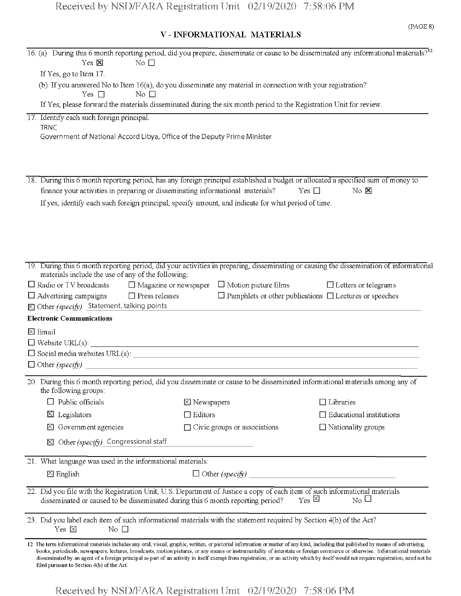## V - INFORMATIONAL MATERIALS

| 16. (a) During this 6 month reporting period, did you prepare, disseminate or cause to be disseminated any informational materials? <sup>12</sup>                                                                                                                                                                                                                                                                  |                                     |                                                                                                                                                                                       |
|--------------------------------------------------------------------------------------------------------------------------------------------------------------------------------------------------------------------------------------------------------------------------------------------------------------------------------------------------------------------------------------------------------------------|-------------------------------------|---------------------------------------------------------------------------------------------------------------------------------------------------------------------------------------|
| Yes $\times$<br>No $\square$                                                                                                                                                                                                                                                                                                                                                                                       |                                     |                                                                                                                                                                                       |
| If Yes, go to Item 17.                                                                                                                                                                                                                                                                                                                                                                                             |                                     |                                                                                                                                                                                       |
| (b) If you answered No to Item 16(a), do you disseminate any material in connection with your registration?<br>Yes $\Box$<br>No $\Box$                                                                                                                                                                                                                                                                             |                                     |                                                                                                                                                                                       |
| If Yes, please forward the materials disseminated during the six month period to the Registration Unit for review.                                                                                                                                                                                                                                                                                                 |                                     |                                                                                                                                                                                       |
| 17. Identify each such foreign principal.<br><b>TRNC</b><br>Government of National Accord Libya, Office of the Deputy Prime Minister                                                                                                                                                                                                                                                                               |                                     |                                                                                                                                                                                       |
| 18. During this 6 month reporting period, has any foreign principal established a budget or allocated a specified sum of money to                                                                                                                                                                                                                                                                                  |                                     |                                                                                                                                                                                       |
| finance your activities in preparing or disseminating informational materials?                                                                                                                                                                                                                                                                                                                                     |                                     | Yes $\square$<br>$\rm No~\n  X$                                                                                                                                                       |
| If yes, identify each such foreign principal, specify amount, and indicate for what period of time.                                                                                                                                                                                                                                                                                                                |                                     |                                                                                                                                                                                       |
|                                                                                                                                                                                                                                                                                                                                                                                                                    |                                     |                                                                                                                                                                                       |
| 19. During this 6 month reporting period, did your activities in preparing, disseminating or causing the dissemination of informational<br>materials include the use of any of the following:                                                                                                                                                                                                                      |                                     |                                                                                                                                                                                       |
| $\Box$ Radio or TV broadcasts $\Box$ Magazine or newspaper $\Box$ Motion picture films                                                                                                                                                                                                                                                                                                                             |                                     | $\Box$ Letters or telegrams                                                                                                                                                           |
| $\Box$ Advertising campaigns<br>$\Box$ Press releases                                                                                                                                                                                                                                                                                                                                                              |                                     | $\Box$ Pamphlets or other publications $\Box$ Lectures or speeches                                                                                                                    |
| ⊠ Other (specify) Statement, talking points                                                                                                                                                                                                                                                                                                                                                                        |                                     |                                                                                                                                                                                       |
| <b>Electronic Communications</b>                                                                                                                                                                                                                                                                                                                                                                                   |                                     |                                                                                                                                                                                       |
| $\boxtimes$ Email                                                                                                                                                                                                                                                                                                                                                                                                  |                                     |                                                                                                                                                                                       |
|                                                                                                                                                                                                                                                                                                                                                                                                                    |                                     |                                                                                                                                                                                       |
|                                                                                                                                                                                                                                                                                                                                                                                                                    |                                     |                                                                                                                                                                                       |
|                                                                                                                                                                                                                                                                                                                                                                                                                    |                                     |                                                                                                                                                                                       |
| 20. During this 6 month reporting period, did you disseminate or cause to be disseminated informational materials among any of<br>the following groups:                                                                                                                                                                                                                                                            |                                     |                                                                                                                                                                                       |
| Public officials                                                                                                                                                                                                                                                                                                                                                                                                   | $\boxtimes$ Newspapers              | $\Box$ Libraries                                                                                                                                                                      |
| Legislators<br><u>k</u>                                                                                                                                                                                                                                                                                                                                                                                            | $\Box$ Editors                      | $\Box$ Educational institutions                                                                                                                                                       |
| Government agencies<br>X                                                                                                                                                                                                                                                                                                                                                                                           | $\Box$ Civic groups or associations | $\Box$ Nationality groups                                                                                                                                                             |
| Other (specify) Congressional staff<br>$\times$                                                                                                                                                                                                                                                                                                                                                                    |                                     |                                                                                                                                                                                       |
| 21. What language was used in the informational materials:                                                                                                                                                                                                                                                                                                                                                         |                                     |                                                                                                                                                                                       |
| $\Sigma$ English                                                                                                                                                                                                                                                                                                                                                                                                   | $\Box$ Other (specify)              |                                                                                                                                                                                       |
| 22. Did you file with the Registration Unit, U.S. Department of Justice a copy of each item of such informational materials<br>disseminated or caused to be disseminated during this 6 month reporting period?                                                                                                                                                                                                     |                                     | $_{\text{Yes}}$ $\boxtimes$<br>$_{\rm No}$ $\Box$                                                                                                                                     |
| 23. Did you label each item of such informational materials with the statement required by Section 4(b) of the Act?<br>Yes $\boxtimes$<br>$\rm No$ $\Box$                                                                                                                                                                                                                                                          |                                     |                                                                                                                                                                                       |
| 12 The term informational materials includes any oral, visual, graphic, written, or pictorial information or matter of any kind, including that published by means of advertising,<br>books, periodicals, newspapers, lectures, broadcasts, motion pictures, or any means or instrumentality of interstate or foreign commerce or otherwise. Informational materials<br>filed pursuant to Section 4(b) of the Act. |                                     | disseminated by an agent of a foreign principal as part of an activity in itself exempt from registration, or an activity which by itself would not require registration, need not be |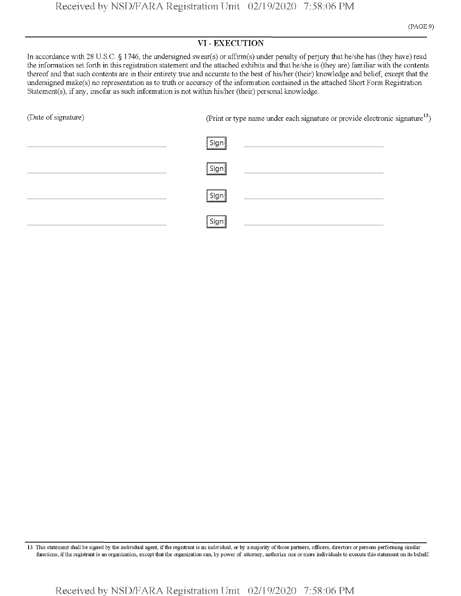## VI - EXECUTION

In accordance with 28 U.S.C. § 1746, the undersigned swear(s) or affirm(s) under penalty of perjury that he/she has (they have) read the information set forth in this registration statement and the attached exhibits and that he/she is (they are) familiar with the contents thereof and that such contents are in their entirety true and accurate to the best of his/her (their) knowledge and belief, except that the undersigned make(s) no representation as to truth or accuracy of the information contained in the attached Short Form Registration Statement(s), if any, insofar as such information is not within his/her (their) personal knowledge.

| (Date of signature) | (Print or type name under each signature or provide electronic signature <sup>13</sup> )                             |  |  |
|---------------------|----------------------------------------------------------------------------------------------------------------------|--|--|
|                     | Sign<br>and the control of the control of the control of the control of the control of the control of                |  |  |
|                     | Sign                                                                                                                 |  |  |
|                     | Sign<br>the control of the control of the control of the control of the control of the control of<br>аакказаакказаас |  |  |
|                     | Sign                                                                                                                 |  |  |

13 This statement shall be signed by the individual agent, if the registrant is an individual, or by a majority of those partners, officers, directors or persons performing similar functions, ifthe registrant is an organization, except that the organization can, by power of attorney, authorize one or more individuals to execute this statement on its behalf.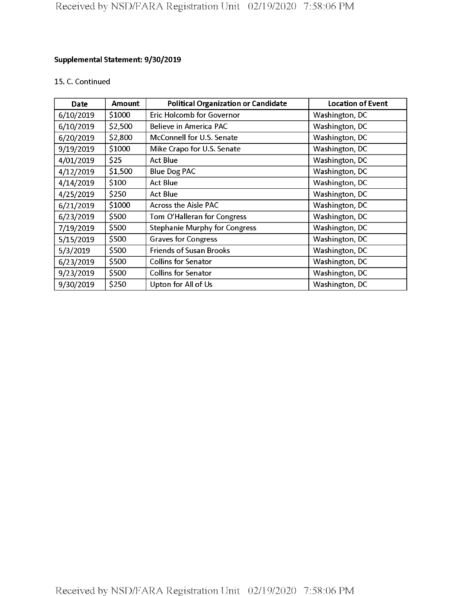## **Supplemental Statement: 9/30/2019**

## 15. C. Continued

| Date      | <b>Amount</b> | <b>Political Organization or Candidate</b> | <b>Location of Event</b> |
|-----------|---------------|--------------------------------------------|--------------------------|
| 6/10/2019 | \$1000        | Eric Holcomb for Governor                  | Washington, DC           |
| 6/10/2019 | \$2,500       | Believe in America PAC                     | Washington, DC           |
| 6/20/2019 | \$2,800       | McConnell for U.S. Senate                  | Washington, DC           |
| 9/19/2019 | \$1000        | Mike Crapo for U.S. Senate                 | Washington, DC           |
| 4/01/2019 | \$25          | <b>Act Blue</b>                            | Washington, DC           |
| 4/12/2019 | \$1,500       | <b>Blue Dog PAC</b>                        | Washington, DC           |
| 4/14/2019 | \$100         | <b>Act Blue</b>                            | Washington, DC           |
| 4/25/2019 | \$250         | <b>Act Blue</b>                            | Washington, DC           |
| 6/21/2019 | \$1000        | <b>Across the Aisle PAC</b>                | Washington, DC           |
| 6/23/2019 | \$500         | Tom O'Halleran for Congress                | Washington, DC           |
| 7/19/2019 | \$500         | <b>Stephanie Murphy for Congress</b>       | Washington, DC           |
| 5/15/2019 | \$500         | <b>Graves for Congress</b>                 | Washington, DC           |
| 5/3/2019  | \$500         | <b>Friends of Susan Brooks</b>             | Washington, DC           |
| 6/23/2019 | \$500         | <b>Collins for Senator</b>                 | Washington, DC           |
| 9/23/2019 | \$500         | <b>Collins for Senator</b>                 | Washington, DC           |
| 9/30/2019 | \$250         | Upton for All of Us                        | Washington, DC           |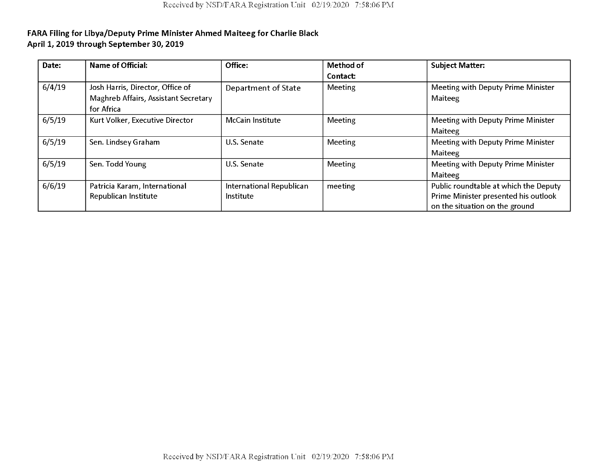| Date:  | Name of Official:                    | Office:                  | Method of | <b>Subject Matter:</b>                |
|--------|--------------------------------------|--------------------------|-----------|---------------------------------------|
|        |                                      |                          | Contact:  |                                       |
| 6/4/19 | Josh Harris, Director, Office of     | Department of State      | Meeting   | Meeting with Deputy Prime Minister    |
|        | Maghreb Affairs, Assistant Secretary |                          |           | Maiteeg                               |
|        | for Africa                           |                          |           |                                       |
| 6/5/19 | Kurt Volker, Executive Director      | <b>McCain Institute</b>  | Meeting   | Meeting with Deputy Prime Minister    |
|        |                                      |                          |           | Maiteeg                               |
| 6/5/19 | Sen. Lindsey Graham                  | U.S. Senate              | Meeting   | Meeting with Deputy Prime Minister    |
|        |                                      |                          |           | Maiteeg                               |
| 6/5/19 | Sen. Todd Young                      | U.S. Senate              | Meeting   | Meeting with Deputy Prime Minister    |
|        |                                      |                          |           | Maiteeg                               |
| 6/6/19 | Patricia Karam, International        | International Republican | meeting   | Public roundtable at which the Deputy |
|        | Republican Institute                 | Institute                |           | Prime Minister presented his outlook  |
|        |                                      |                          |           | on the situation on the ground        |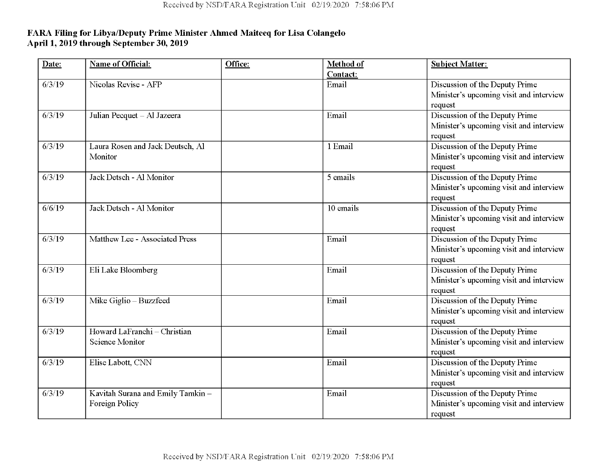| Date:  | <b>Name of Official:</b>          | Office: | Method of | <b>Subject Matter:</b>                  |
|--------|-----------------------------------|---------|-----------|-----------------------------------------|
|        |                                   |         | Contact:  |                                         |
| 6/3/19 | Nicolas Revise - AFP              |         | Email     | Discussion of the Deputy Prime          |
|        |                                   |         |           | Minister's upcoming visit and interview |
|        |                                   |         |           | request                                 |
| 6/3/19 | Julian Pecquet - Al Jazeera       |         | Email     | Discussion of the Deputy Prime          |
|        |                                   |         |           | Minister's upcoming visit and interview |
|        |                                   |         |           | request                                 |
| 6/3/19 | Laura Rosen and Jack Deutsch, Al  |         | 1 Email   | Discussion of the Deputy Prime          |
|        | Monitor                           |         |           | Minister's upcoming visit and interview |
|        |                                   |         |           | request                                 |
| 6/3/19 | Jack Detsch - Al Monitor          |         | 5 emails  | Discussion of the Deputy Prime          |
|        |                                   |         |           | Minister's upcoming visit and interview |
|        |                                   |         |           | request                                 |
| 6/6/19 | Jack Detsch - Al Monitor          |         | 10 emails | Discussion of the Deputy Prime          |
|        |                                   |         |           | Minister's upcoming visit and interview |
|        |                                   |         |           | request                                 |
| 6/3/19 | Matthew Lee - Associated Press    |         | Email     | Discussion of the Deputy Prime          |
|        |                                   |         |           | Minister's upcoming visit and interview |
|        |                                   |         |           | request                                 |
| 6/3/19 | Eli Lake Bloomberg                |         | Email     | Discussion of the Deputy Prime          |
|        |                                   |         |           | Minister's upcoming visit and interview |
|        |                                   |         |           | request                                 |
| 6/3/19 | Mike Giglio - Buzzfeed            |         | Email     | Discussion of the Deputy Prime          |
|        |                                   |         |           | Minister's upcoming visit and interview |
|        |                                   |         |           | request                                 |
| 6/3/19 | Howard LaFranchi - Christian      |         | Email     | Discussion of the Deputy Prime          |
|        | Science Monitor                   |         |           | Minister's upcoming visit and interview |
|        |                                   |         |           | request                                 |
| 6/3/19 | Elise Labott, CNN                 |         | Email     | Discussion of the Deputy Prime          |
|        |                                   |         |           | Minister's upcoming visit and interview |
|        |                                   |         |           | request                                 |
| 6/3/19 | Kavitah Surana and Emily Tamkin - |         | Email     | Discussion of the Deputy Prime          |
|        | Foreign Policy                    |         |           | Minister's upcoming visit and interview |
|        |                                   |         |           | request                                 |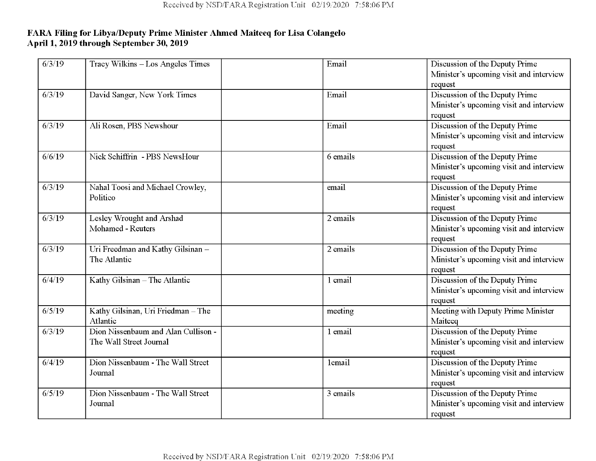| 6/3/19          | Tracy Wilkins - Los Angeles Times   | Email    | Discussion of the Deputy Prime          |
|-----------------|-------------------------------------|----------|-----------------------------------------|
|                 |                                     |          | Minister's upcoming visit and interview |
|                 |                                     |          | request                                 |
| 6/3/19          | David Sanger, New York Times        | Email    | Discussion of the Deputy Prime          |
|                 |                                     |          | Minister's upcoming visit and interview |
|                 |                                     |          | request                                 |
| 6/3/19          | Ali Rosen, PBS Newshour             | Email    | Discussion of the Deputy Prime          |
|                 |                                     |          | Minister's upcoming visit and interview |
|                 |                                     |          | request                                 |
| 6/6/19          | Nick Schiffrin - PBS NewsHour       | 6 emails | Discussion of the Deputy Prime          |
|                 |                                     |          | Minister's upcoming visit and interview |
|                 |                                     |          | request                                 |
| 6/3/19          | Nahal Toosi and Michael Crowley,    | email    | Discussion of the Deputy Prime          |
|                 | Politico                            |          | Minister's upcoming visit and interview |
|                 |                                     |          | request                                 |
| 6/3/19          | Lesley Wrought and Arshad           | 2 emails | Discussion of the Deputy Prime          |
|                 | Mohamed - Reuters                   |          | Minister's upcoming visit and interview |
|                 |                                     |          | request                                 |
| $\sqrt{6/3/19}$ | Uri Freedman and Kathy Gilsinan -   | 2 emails | Discussion of the Deputy Prime          |
|                 | The Atlantic                        |          | Minister's upcoming visit and interview |
|                 |                                     |          | request                                 |
| 6/4/19          | Kathy Gilsinan - The Atlantic       | 1 email  | Discussion of the Deputy Prime          |
|                 |                                     |          | Minister's upcoming visit and interview |
|                 |                                     |          | request                                 |
| 6/5/19          | Kathy Gilsinan, Uri Friedman - The  | meeting  | Meeting with Deputy Prime Minister      |
|                 | Atlantic                            |          | Maiteeq                                 |
| 6/3/19          | Dion Nissenbaum and Alan Cullison - | 1 email  | Discussion of the Deputy Prime          |
|                 | The Wall Street Journal             |          | Minister's upcoming visit and interview |
|                 |                                     |          | request                                 |
| 6/4/19          | Dion Nissenbaum - The Wall Street   | lemail   | Discussion of the Deputy Prime          |
|                 | Journal                             |          | Minister's upcoming visit and interview |
|                 |                                     |          | request                                 |
| 6/5/19          | Dion Nissenbaum - The Wall Street   | 3 emails | Discussion of the Deputy Prime          |
|                 | Journal                             |          | Minister's upcoming visit and interview |
|                 |                                     |          | request                                 |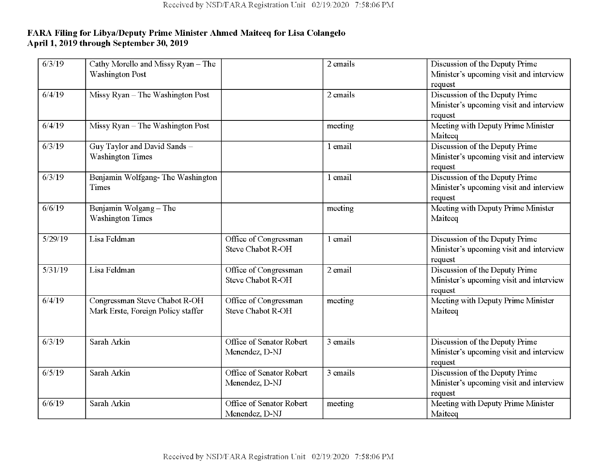| 6/3/19  | Cathy Morello and Missy Ryan - The<br><b>Washington Post</b>        |                                            | 2 emails | Discussion of the Deputy Prime<br>Minister's upcoming visit and interview            |
|---------|---------------------------------------------------------------------|--------------------------------------------|----------|--------------------------------------------------------------------------------------|
|         |                                                                     |                                            |          | request                                                                              |
| 6/4/19  | Missy Ryan - The Washington Post                                    |                                            | 2 emails | Discussion of the Deputy Prime<br>Minister's upcoming visit and interview<br>request |
| 6/4/19  | Missy Ryan - The Washington Post                                    |                                            | meeting  | Meeting with Deputy Prime Minister<br>Maiteeq                                        |
| 6/3/19  | Guy Taylor and David Sands -<br><b>Washington Times</b>             |                                            | 1 email  | Discussion of the Deputy Prime<br>Minister's upcoming visit and interview<br>request |
| 6/3/19  | Benjamin Wolfgang-The Washington<br>Times                           |                                            | 1 email  | Discussion of the Deputy Prime<br>Minister's upcoming visit and interview<br>request |
| 6/6/19  | Benjamin Wolgang - The<br><b>Washington Times</b>                   |                                            | meeting  | Meeting with Deputy Prime Minister<br>Maiteeq                                        |
| 5/29/19 | Lisa Feldman                                                        | Office of Congressman<br>Steve Chabot R-OH | 1 email  | Discussion of the Deputy Prime<br>Minister's upcoming visit and interview<br>request |
| 5/31/19 | Lisa Feldman                                                        | Office of Congressman<br>Steve Chabot R-OH | 2 email  | Discussion of the Deputy Prime<br>Minister's upcoming visit and interview<br>request |
| 6/4/19  | Congressman Steve Chabot R-OH<br>Mark Erste, Foreign Policy staffer | Office of Congressman<br>Steve Chabot R-OH | meeting  | Meeting with Deputy Prime Minister<br>Maiteeq                                        |
| 6/3/19  | Sarah Arkin                                                         | Office of Senator Robert<br>Menendez, D-NJ | 3 emails | Discussion of the Deputy Prime<br>Minister's upcoming visit and interview<br>request |
| 6/5/19  | Sarah Arkin                                                         | Office of Senator Robert<br>Menendez, D-NJ | 3 emails | Discussion of the Deputy Prime<br>Minister's upcoming visit and interview<br>request |
| 6/6/19  | Sarah Arkin                                                         | Office of Senator Robert<br>Menendez, D-NJ | meeting  | Meeting with Deputy Prime Minister<br>Maiteeq                                        |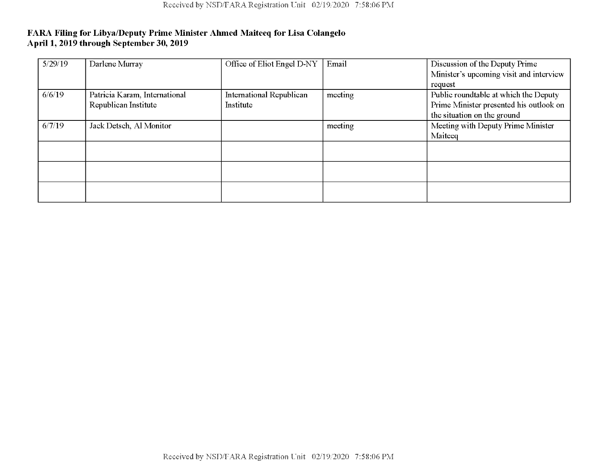| 5/29/19 | Darlene Murray                | Office of Eliot Engel D-NY | Email   | Discussion of the Deputy Prime          |
|---------|-------------------------------|----------------------------|---------|-----------------------------------------|
|         |                               |                            |         | Minister's upcoming visit and interview |
|         |                               |                            |         | request                                 |
| 6/6/19  | Patricia Karam, International | International Republican   | meeting | Public roundtable at which the Deputy   |
|         | Republican Institute          | Institute                  |         | Prime Minister presented his outlook on |
|         |                               |                            |         | the situation on the ground             |
| 6/7/19  | Jack Detsch, Al Monitor       |                            | meeting | Meeting with Deputy Prime Minister      |
|         |                               |                            |         | Maiteeq                                 |
|         |                               |                            |         |                                         |
|         |                               |                            |         |                                         |
|         |                               |                            |         |                                         |
|         |                               |                            |         |                                         |
|         |                               |                            |         |                                         |
|         |                               |                            |         |                                         |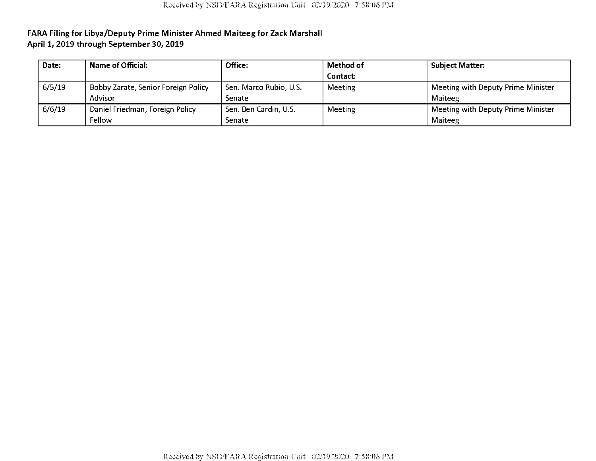| Date:  | <b>Name of Official:</b>            | Office:                | Method of | <b>Subject Matter:</b>             |
|--------|-------------------------------------|------------------------|-----------|------------------------------------|
|        |                                     |                        | Contact:  |                                    |
| 6/5/19 | Bobby Zarate, Senior Foreign Policy | Sen. Marco Rubio, U.S. | Meeting   | Meeting with Deputy Prime Minister |
|        | Advisor                             | Senate                 |           | Maiteeg                            |
| 6/6/19 | Daniel Friedman, Foreign Policy     | Sen. Ben Cardin, U.S.  | Meeting   | Meeting with Deputy Prime Minister |
|        | Fellow                              | Senate                 |           | Maiteeg                            |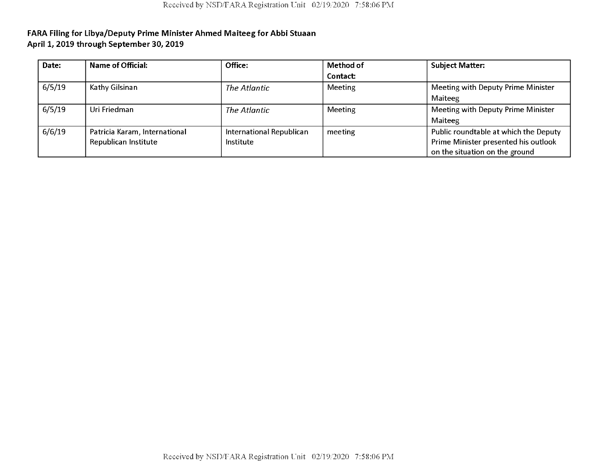| Date:  | <b>Name of Official:</b>      | Office:                  | Method of      | <b>Subject Matter:</b>                |
|--------|-------------------------------|--------------------------|----------------|---------------------------------------|
|        |                               |                          | Contact:       |                                       |
| 6/5/19 | Kathy Gilsinan                | The Atlantic             | <b>Meeting</b> | Meeting with Deputy Prime Minister    |
|        |                               |                          |                | Maiteeg                               |
| 6/5/19 | Uri Friedman                  | The Atlantic             | <b>Meeting</b> | Meeting with Deputy Prime Minister    |
|        |                               |                          |                | Maiteeg                               |
| 6/6/19 | Patricia Karam, International | International Republican | meeting        | Public roundtable at which the Deputy |
|        | Republican Institute          | <b>Institute</b>         |                | Prime Minister presented his outlook  |
|        |                               |                          |                | on the situation on the ground        |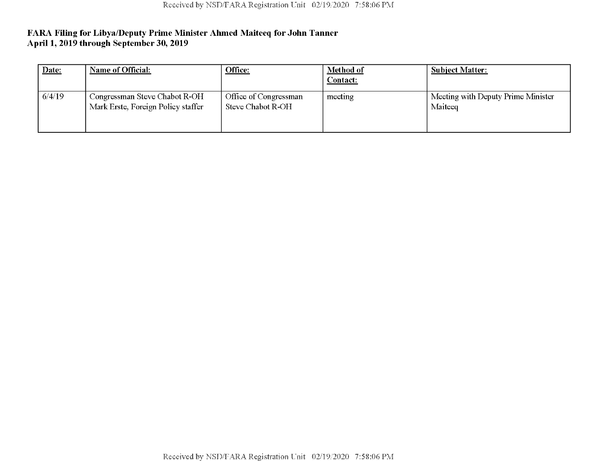| Date:  | Name of Official:                                                   | Office:                                    | Method of<br>Contact: | <b>Subject Matter:</b>                        |
|--------|---------------------------------------------------------------------|--------------------------------------------|-----------------------|-----------------------------------------------|
| 6/4/19 | Congressman Steve Chabot R-OH<br>Mark Erste, Foreign Policy staffer | Office of Congressman<br>Steve Chabot R-OH | meeting               | Meeting with Deputy Prime Minister<br>Maiteeq |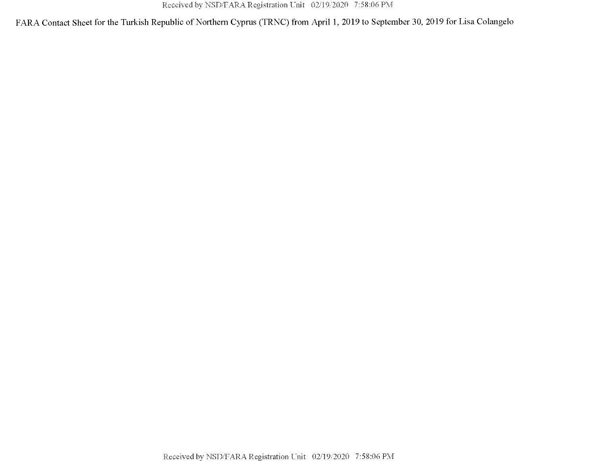FARA Contact Sheet for the Turkish Republic of Northern Cyprus (TRNC) from April 1, 2019 to September 30, 2019 for Lisa Colangelo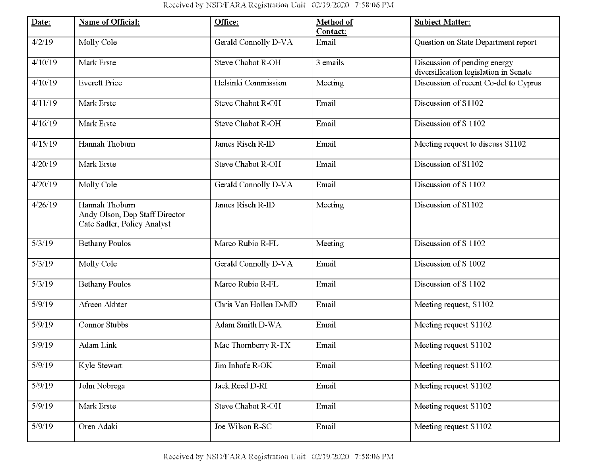| Date:   | Name of Official:                                                               | Office:                  | Method of<br>Contact: | <b>Subject Matter:</b>                                                |
|---------|---------------------------------------------------------------------------------|--------------------------|-----------------------|-----------------------------------------------------------------------|
| 4/2/19  | Molly Cole                                                                      | Gerald Connolly D-VA     | Email                 | Question on State Department report                                   |
| 4/10/19 | Mark Erste                                                                      | <b>Steve Chabot R-OH</b> | 3 emails              | Discussion of pending energy<br>diversification legislation in Senate |
| 4/10/19 | <b>Everett Price</b>                                                            | Helsinki Commission      | Meeting               | Discussion of recent Co-del to Cyprus                                 |
| 4/11/19 | Mark Erste                                                                      | Steve Chabot R-OH        | Email                 | Discussion of S1102                                                   |
| 4/16/19 | Mark Erste                                                                      | Steve Chabot R-OH        | Email                 | Discussion of S 1102                                                  |
| 4/15/19 | Hannah Thoburn                                                                  | James Risch R-ID         | Email                 | Meeting request to discuss S1102                                      |
| 4/20/19 | Mark Erste                                                                      | Steve Chabot R-OH        | Email                 | Discussion of S1102                                                   |
| 4/20/19 | Molly Cole                                                                      | Gerald Connolly D-VA     | Email                 | Discussion of S 1102                                                  |
| 4/26/19 | Hannah Thoburn<br>Andy Olson, Dep Staff Director<br>Cate Sadler, Policy Analyst | James Risch R-ID         | Meeting               | Discussion of S1102                                                   |
| 5/3/19  | <b>Bethany Poulos</b>                                                           | Marco Rubio R-FL         | Meeting               | Discussion of S 1102                                                  |
| 5/3/19  | Molly Cole                                                                      | Gerald Connolly D-VA     | Email                 | Discussion of S 1002                                                  |
| 5/3/19  | <b>Bethany Poulos</b>                                                           | Marco Rubio R-FL         | Email                 | Discussion of S 1102                                                  |
| 5/9/19  | Afreen Akhter                                                                   | Chris Van Hollen D-MD    | Email                 | Meeting request, S1102                                                |
| 5/9/19  | <b>Connor Stubbs</b>                                                            | Adam Smith D-WA          | Email                 | Meeting request S1102                                                 |
| 5/9/19  | <b>Adam Link</b>                                                                | Mac Thornberry R-TX      | Email                 | Meeting request S1102                                                 |
| 5/9/19  | Kyle Stewart                                                                    | Jim Inhofe R-OK          | Email                 | Meeting request S1102                                                 |
| 5/9/19  | John Nobrega                                                                    | Jack Reed D-RI           | Email                 | Meeting request S1102                                                 |
| 5/9/19  | Mark Erste                                                                      | Steve Chabot R-OH        | Email                 | Meeting request S1102                                                 |
| 5/9/19  | Oren Adaki                                                                      | Joe Wilson R-SC          | Email                 | Meeting request S1102                                                 |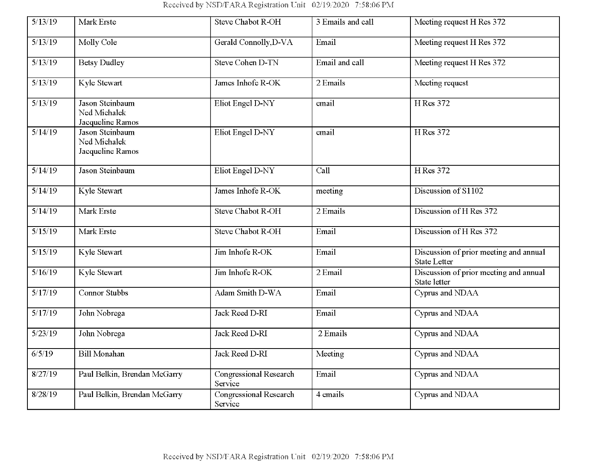Received by NSD/FARA Registration Unit 02/19/2020 7:58:06 PM

| 5/13/19 | Mark Erste                                          | Steve Chabot R-OH                 | 3 Emails and call | Meeting request H Res 372                                     |
|---------|-----------------------------------------------------|-----------------------------------|-------------------|---------------------------------------------------------------|
| 5/13/19 | Molly Cole                                          | Gerald Connolly, D-VA             | Email             | Meeting request H Res 372                                     |
| 5/13/19 | <b>Betsy Dudley</b>                                 | <b>Steve Cohen D-TN</b>           | Email and call    | Meeting request H Res 372                                     |
| 5/13/19 | Kyle Stewart                                        | James Inhofe R-OK                 | 2 Emails          | Meeting request                                               |
| 5/13/19 | Jason Steinbaum<br>Ned Michalek<br>Jacqueline Ramos | <b>Eliot Engel D-NY</b>           | email             | <b>H</b> Res 372                                              |
| 5/14/19 | Jason Steinbaum<br>Ned Michalek<br>Jacqueline Ramos | Eliot Engel D-NY                  | email             | H Res 372                                                     |
| 5/14/19 | Jason Steinbaum                                     | Eliot Engel D-NY                  | Call              | H Res 372                                                     |
| 5/14/19 | Kyle Stewart                                        | James Inhofe R-OK                 | meeting           | Discussion of S1102                                           |
| 5/14/19 | Mark Erste                                          | <b>Steve Chabot R-OH</b>          | 2 Emails          | Discussion of H Res 372                                       |
| 5/15/19 | Mark Erste                                          | Steve Chabot R-OH                 | Email             | Discussion of H Res 372                                       |
| 5/15/19 | Kyle Stewart                                        | Jim Inhofe R-OK                   | Email             | Discussion of prior meeting and annual<br><b>State Letter</b> |
| 5/16/19 | Kyle Stewart                                        | Jim Inhofe R-OK                   | 2 Email           | Discussion of prior meeting and annual<br>State letter        |
| 5/17/19 | <b>Connor Stubbs</b>                                | Adam Smith D-WA                   | Email             | Cyprus and NDAA                                               |
| 5/17/19 | John Nobrega                                        | <b>Jack Reed D-RI</b>             | Email             | Cyprus and NDAA                                               |
| 5/23/19 | John Nobrega                                        | Jack Reed D-RI                    | 2 Emails          | Cyprus and NDAA                                               |
| 6/5/19  | <b>Bill Monahan</b>                                 | Jack Reed D-RI                    | Meeting           | Cyprus and NDAA                                               |
| 8/27/19 | Paul Belkin, Brendan McGarry                        | Congressional Research<br>Service | Email             | Cyprus and NDAA                                               |
| 8/28/19 | Paul Belkin, Brendan McGarry                        | Congressional Research<br>Service | 4 emails          | Cyprus and NDAA                                               |